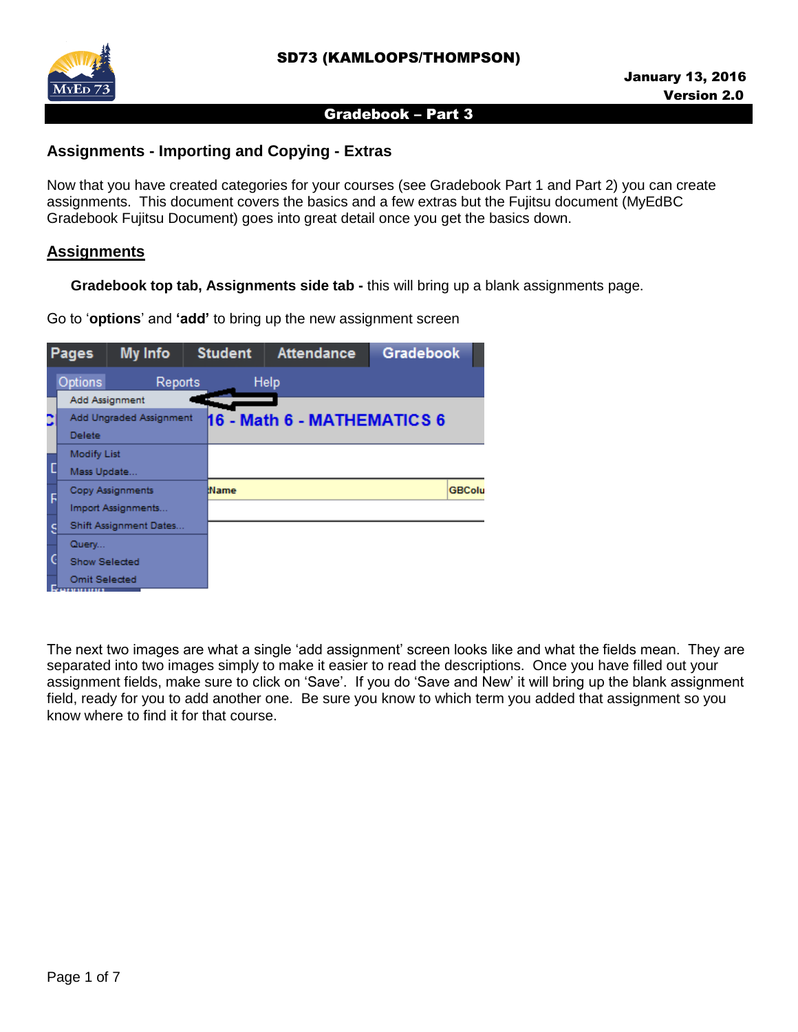

#### **Assignments - Importing and Copying - Extras**

Now that you have created categories for your courses (see Gradebook Part 1 and Part 2) you can create assignments. This document covers the basics and a few extras but the Fujitsu document (MyEdBC Gradebook Fujitsu Document) goes into great detail once you get the basics down.

#### **Assignments**

 **Gradebook top tab, Assignments side tab -** this will bring up a blank assignments page.

Go to '**options**' and **'add'** to bring up the new assignment screen

| <b>Pages</b> |                      | My Info                 | <b>Student</b> | <b>Attendance</b>           | <b>Gradebook</b> |
|--------------|----------------------|-------------------------|----------------|-----------------------------|------------------|
|              | Options              | Reports                 |                | Help                        |                  |
|              |                      | Add Assignment          |                |                             |                  |
|              |                      | Add Ungraded Assignment |                | 16 - Math 6 - MATHEMATICS 6 |                  |
|              | <b>Delete</b>        |                         |                |                             |                  |
|              | <b>Modify List</b>   |                         |                |                             |                  |
|              | Mass Update          |                         |                |                             |                  |
|              |                      | <b>Copy Assignments</b> | tName          |                             | <b>GBColu</b>    |
|              |                      | Import Assignments      |                |                             |                  |
|              |                      | Shift Assignment Dates  |                |                             |                  |
|              | Query                |                         |                |                             |                  |
|              | <b>Show Selected</b> |                         |                |                             |                  |
|              | <b>Omit Selected</b> |                         |                |                             |                  |

The next two images are what a single 'add assignment' screen looks like and what the fields mean. They are separated into two images simply to make it easier to read the descriptions. Once you have filled out your assignment fields, make sure to click on 'Save'. If you do 'Save and New' it will bring up the blank assignment field, ready for you to add another one. Be sure you know to which term you added that assignment so you know where to find it for that course.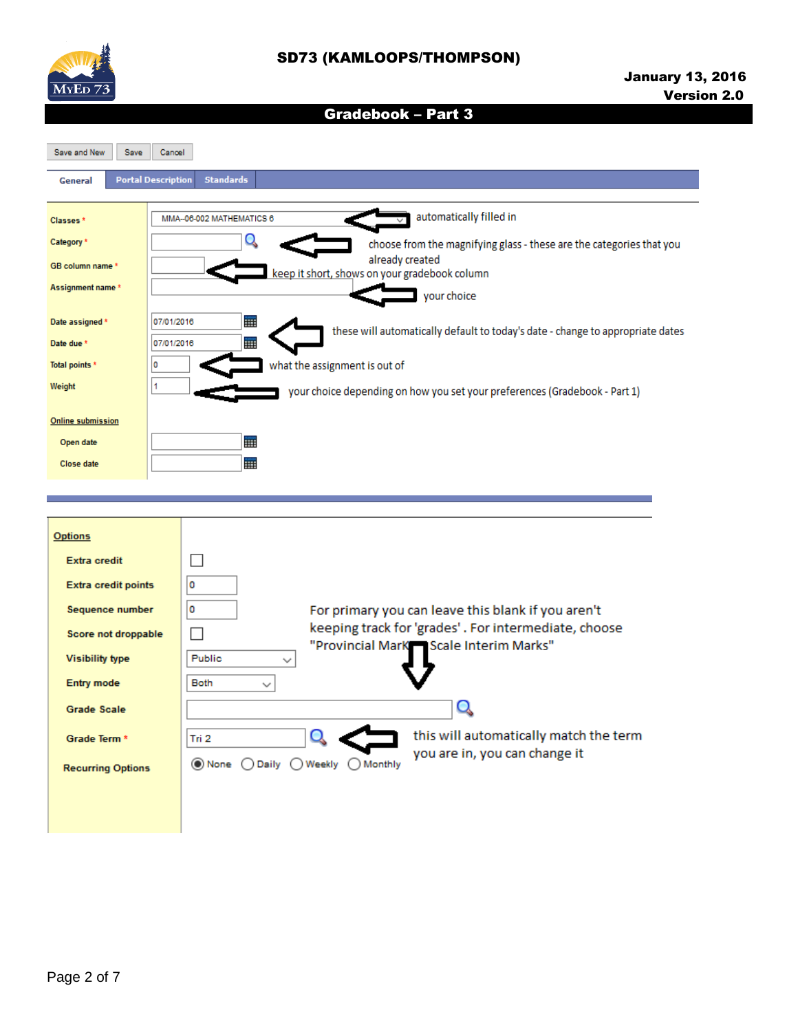

# SD73 (KAMLOOPS/THOMPSON)

# Gradebook – Part 3

Save and New Save Cancel

| General                                                | <b>Portal Description</b><br><b>Standards</b>                                                                                                   |
|--------------------------------------------------------|-------------------------------------------------------------------------------------------------------------------------------------------------|
| Classes <sup>*</sup><br>Category *<br>GB column name * | automatically filled in<br>MMA--06-002 MATHEMATICS 6<br>choose from the magnifying glass - these are the categories that you<br>already created |
| Assignment name *                                      | keep it short, shows on your gradebook column<br>your choice                                                                                    |
| Date assigned *<br>Date due *                          | HH.<br>07/01/2016<br>these will automatically default to today's date - change to appropriate dates<br>m<br>07/01/2016                          |
| Total points *                                         | what the assignment is out of                                                                                                                   |
| Weight                                                 | your choice depending on how you set your preferences (Gradebook - Part 1)                                                                      |
| Online submission<br>Open date                         | m                                                                                                                                               |
| <b>Close date</b>                                      | HH.                                                                                                                                             |

| <b>Options</b>             |                                                                                      |
|----------------------------|--------------------------------------------------------------------------------------|
| <b>Extra credit</b>        |                                                                                      |
| <b>Extra credit points</b> | ٥                                                                                    |
| Sequence number            | For primary you can leave this blank if you aren't<br>0                              |
| Score not droppable        | keeping track for 'grades'. For intermediate, choose                                 |
| <b>Visibility type</b>     | "Provincial MarK Scale Interim Marks"<br><b>Public</b>                               |
| <b>Entry mode</b>          | <b>Both</b>                                                                          |
| <b>Grade Scale</b>         |                                                                                      |
| Grade Term *               | this will automatically match the term<br>Tri 2                                      |
| <b>Recurring Options</b>   | you are in, you can change it<br>$\odot$ None $\odot$<br>Daily ( ) Weekly<br>Monthly |
|                            |                                                                                      |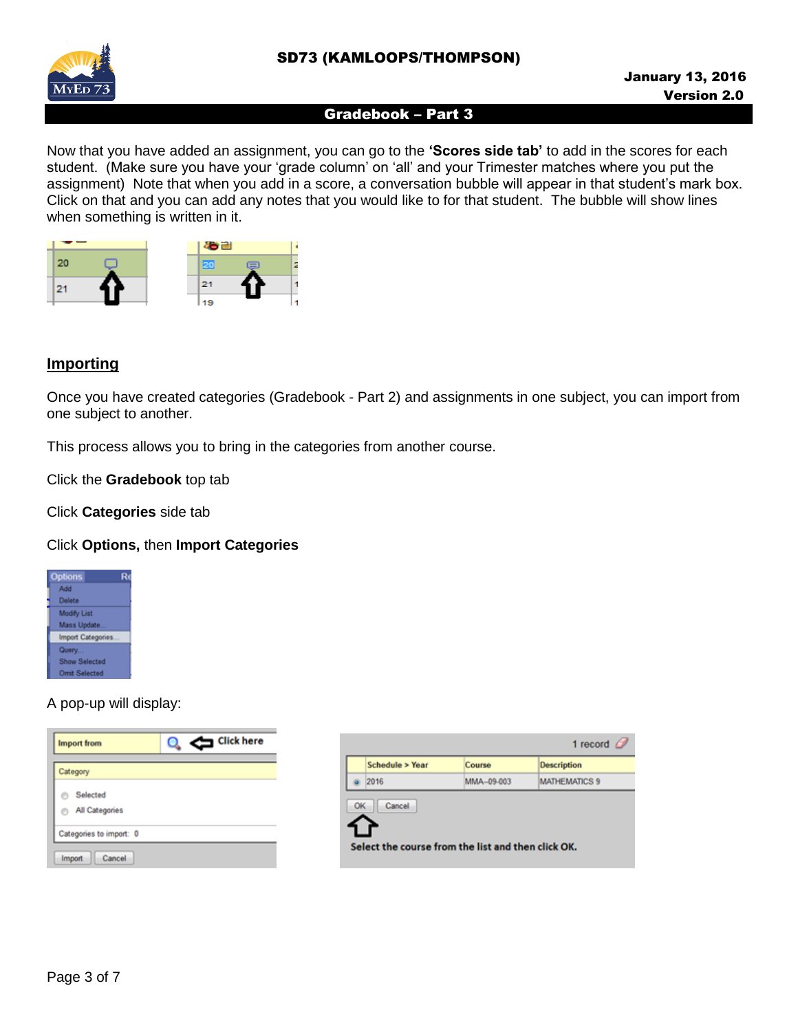



Now that you have added an assignment, you can go to the **'Scores side tab'** to add in the scores for each student. (Make sure you have your 'grade column' on 'all' and your Trimester matches where you put the assignment) Note that when you add in a score, a conversation bubble will appear in that student's mark box. Click on that and you can add any notes that you would like to for that student. The bubble will show lines when something is written in it.



# **Importing**

Once you have created categories (Gradebook - Part 2) and assignments in one subject, you can import from one subject to another.

This process allows you to bring in the categories from another course.

Click the **Gradebook** top tab

Click **Categories** side tab

#### Click **Options,** then **Import Categories**



#### A pop-up will display:

| <b>Import from</b>         | Click here |
|----------------------------|------------|
| Category                   |            |
| Selected<br>All Categories |            |
| Categories to import: 0    |            |
| Cancel<br>Import           |            |

|    |                                                              |            | 1 record             |
|----|--------------------------------------------------------------|------------|----------------------|
|    | Schedule > Year                                              | Course     | <b>Description</b>   |
|    | 2016                                                         | MMA-09-003 | <b>MATHEMATICS 9</b> |
| OK | Cancel<br>Select the course from the list and then click OK. |            |                      |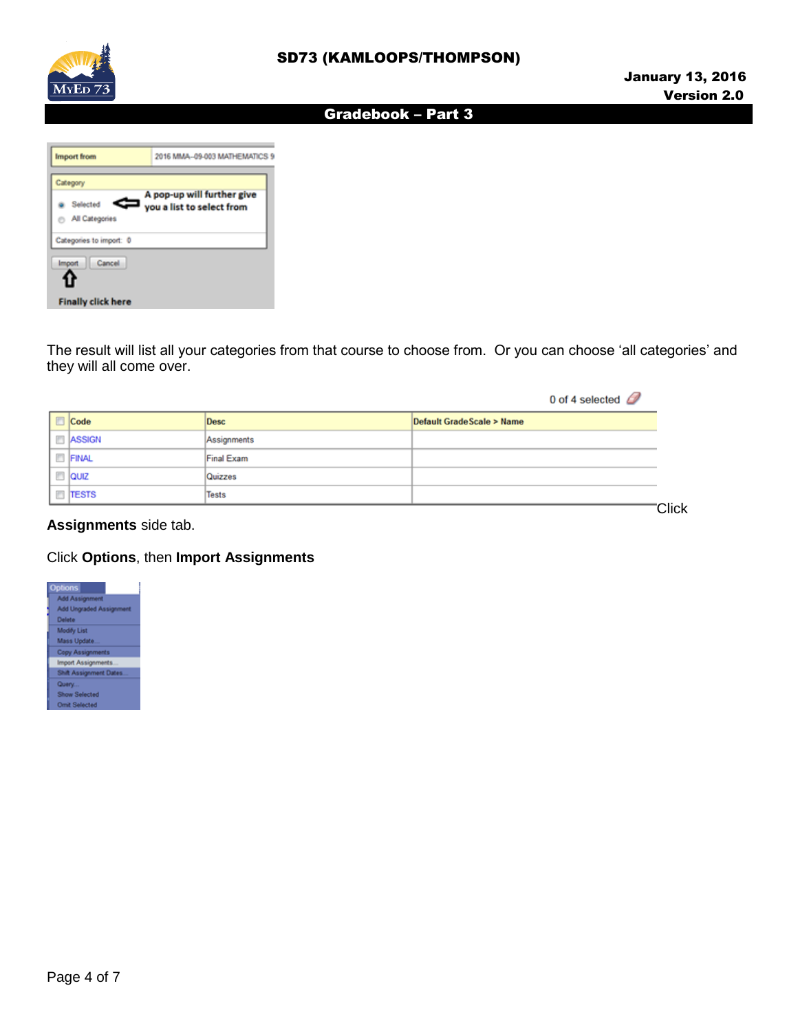

| <b>Import</b> from         | 2016 MMA-09-003 MATHEMATICS 9                           |  |  |
|----------------------------|---------------------------------------------------------|--|--|
| Category                   |                                                         |  |  |
| Selected<br>All Categories | A pop-up will further give<br>you a list to select from |  |  |
| Categories to import: 0    |                                                         |  |  |
| Cancel<br>mport            |                                                         |  |  |
| <b>Finally click here</b>  |                                                         |  |  |

The result will list all your categories from that course to choose from. Or you can choose 'all categories' and they will all come over.

|               |             | 0 of 4 selected $\oslash$  |
|---------------|-------------|----------------------------|
| $\Box$ Code   | Desc        | Default Grade Scale > Name |
| $\Box$ ASSIGN | Assignments |                            |
| FINAL         | Final Exam  |                            |
| $\Box$ QUIZ   | Quizzes     |                            |
| $\Box$ TESTS  | Tests       |                            |
|               |             | <b>Click</b>               |

**Assignments** side tab.

#### Click **Options**, then **Import Assignments**

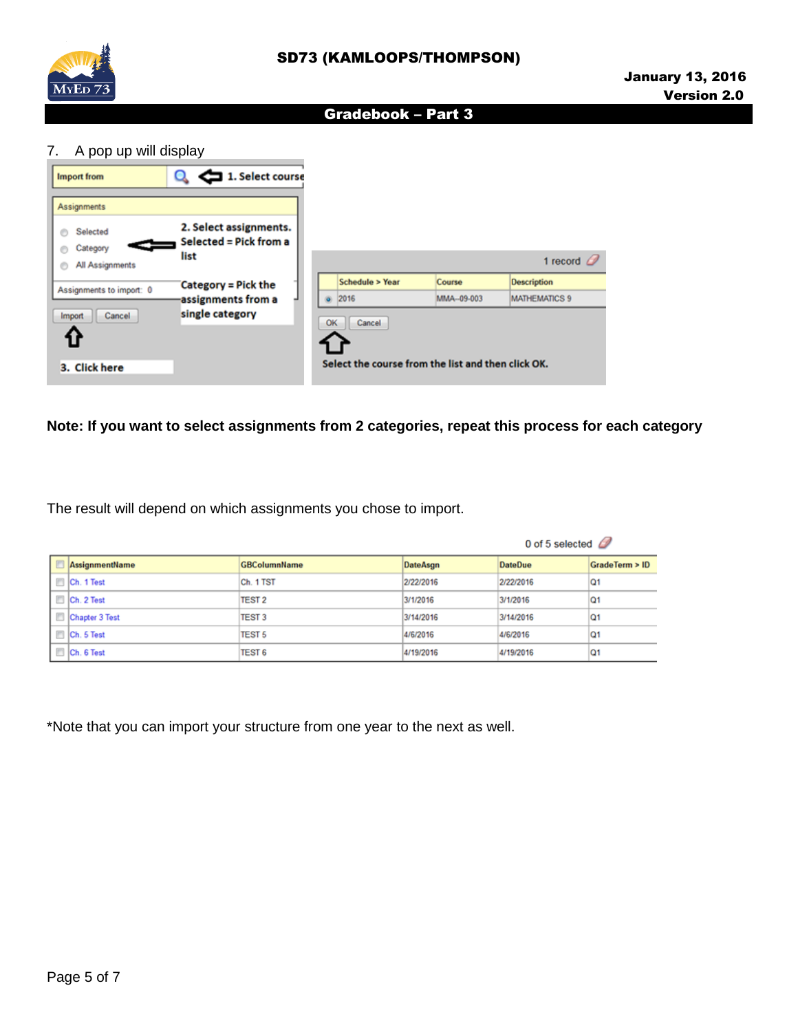

| A pop up will display<br>7.             |                                                          |    |                                                                    |                      |                                            |
|-----------------------------------------|----------------------------------------------------------|----|--------------------------------------------------------------------|----------------------|--------------------------------------------|
| <b>Import from</b><br>Assignments       | 1. Select course<br>$\sim$ $\sim$                        |    |                                                                    |                      |                                            |
| Selected<br>Category<br>All Assignments | 2. Select assignments.<br>Selected = Pick from a<br>list |    |                                                                    |                      | 1 record $\mathcal O$                      |
| Assignments to import: 0                | <b>Category = Pick the</b><br>assignments from a         | Ö. | Schedule > Year<br>2016                                            | Course<br>MMA-09-003 | <b>Description</b><br><b>MATHEMATICS 9</b> |
| Cancel<br>Import<br>3. Click here       | single category                                          |    | OK<br>Cancel<br>Select the course from the list and then click OK. |                      |                                            |

#### **Note: If you want to select assignments from 2 categories, repeat this process for each category**

The result will depend on which assignments you chose to import.

|   |                |                     |           | 0 of 5 selected $\mathbb{Z}$ |                 |
|---|----------------|---------------------|-----------|------------------------------|-----------------|
| F | AssignmentName | <b>GBColumnName</b> | DateAsgn  | <b>DateDue</b>               | GradeTerm > ID  |
|   | Ch. 1 Test     | Ch. 1 TST           | 2/22/2016 | 2/22/2016                    | IQ <sub>1</sub> |
|   | Ch. 2 Test     | <b>TEST 2</b>       | 3/1/2016  | 3/1/2016                     | Q1              |
|   | Chapter 3 Test | <b>TEST 3</b>       | 3/14/2016 | 3/14/2016                    | $\Omega$ 1      |
|   | Ch. 5 Test     | <b>TEST 5</b>       | 4/6/2016  | 4/6/2016                     | Q <sub>1</sub>  |
|   | Ch. 6 Test     | <b>TEST 6</b>       | 4/19/2016 | 4/19/2016                    | <b>Q1</b>       |

\*Note that you can import your structure from one year to the next as well.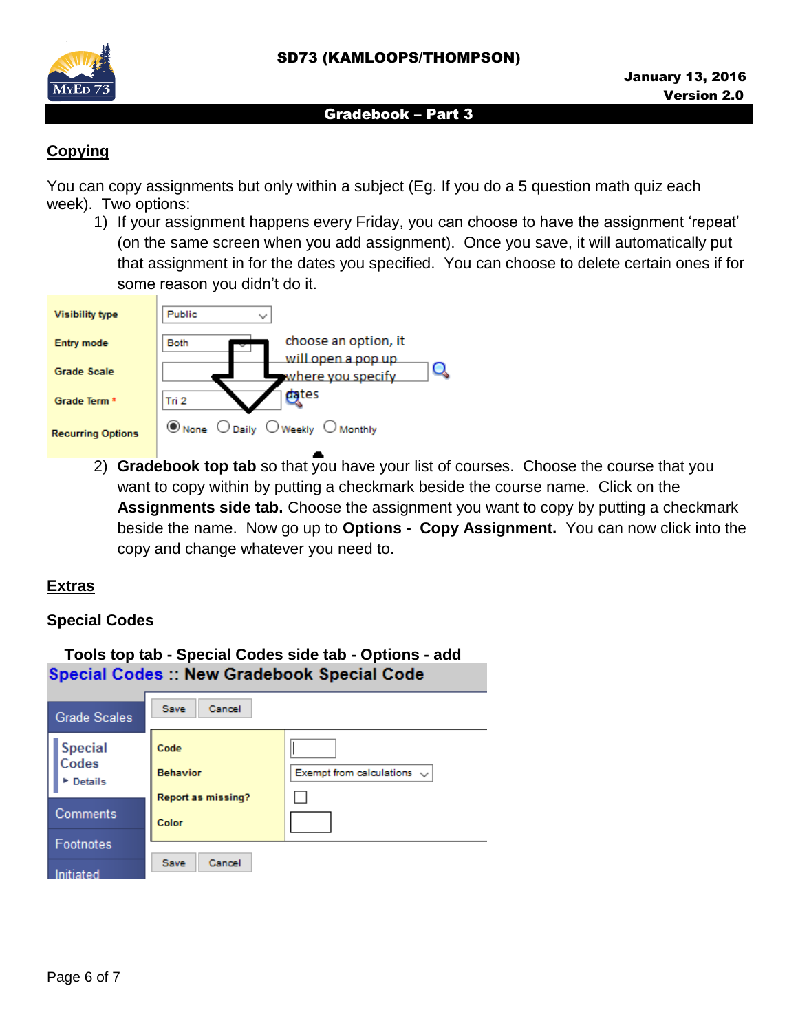

# **Copying**

You can copy assignments but only within a subject (Eg. If you do a 5 question math quiz each week). Two options:

1) If your assignment happens every Friday, you can choose to have the assignment 'repeat' (on the same screen when you add assignment). Once you save, it will automatically put that assignment in for the dates you specified. You can choose to delete certain ones if for some reason you didn't do it.

| <b>Visibility type</b>   | Public<br>$\checkmark$                                                                               |
|--------------------------|------------------------------------------------------------------------------------------------------|
| <b>Entry mode</b>        | choose an option, it<br><b>Both</b>                                                                  |
| <b>Grade Scale</b>       | will open a pop up<br>where you specify                                                              |
| Grade Term <sup>*</sup>  | dates<br>Tri 2                                                                                       |
| <b>Recurring Options</b> | $\circledcirc$ None $\circlearrowright$ Daily $\circlearrowright$ Weekly $\circlearrowright$ Monthly |

2) **Gradebook top tab** so that you have your list of courses. Choose the course that you want to copy within by putting a checkmark beside the course name. Click on the **Assignments side tab.** Choose the assignment you want to copy by putting a checkmark beside the name. Now go up to **Options - Copy Assignment.** You can now click into the copy and change whatever you need to.

# **Extras**

# **Special Codes**

| Tools top tab - Special Codes side tab - Options - add<br><b>Special Codes :: New Gradebook Special Code</b> |                                                      |                                 |  |  |  |
|--------------------------------------------------------------------------------------------------------------|------------------------------------------------------|---------------------------------|--|--|--|
| <b>Grade Scales</b>                                                                                          | Save<br>Cancel                                       |                                 |  |  |  |
| <b>Special</b><br>Codes<br>Details                                                                           | Code<br><b>Behavior</b><br><b>Report as missing?</b> | Exempt from calculations $\sim$ |  |  |  |
| Comments                                                                                                     | Color                                                |                                 |  |  |  |
| Footnotes<br>Initiated                                                                                       | Save<br>Cancel                                       |                                 |  |  |  |

 **Tools top tab - Special Codes side tab - Options - add**